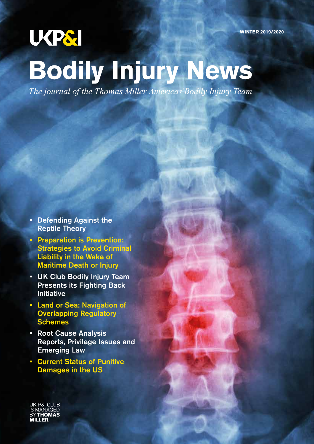## **UKPSI**

# **Bodily Injury News**

*The journal of the Thomas Miller Americas'Bodily Injury Team*

- Defending Against the Reptile Theory
- Preparation is Prevention: Strategies to Avoid Criminal Liability in the Wake of Maritime Death or Injury
- UK Club Bodily Injury Team Presents its Fighting Back Initiative
- Land or Sea: Navigation of Overlapping Regulatory Schemes
- Root Cause Analysis Reports, Privilege Issues and Emerging Law
- Current Status of Punitive Damages in the US

**P&I CI UB**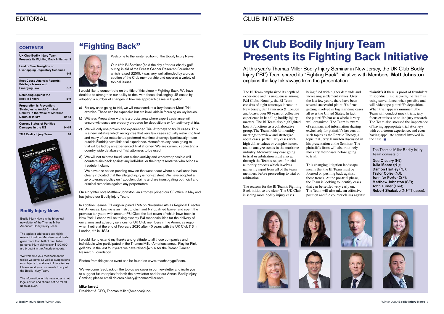## EDITORIAL CLUB INITIATIVES

## **UK Club Bodily Injury Team Presents its Fighting Back Initiative**

At this year's Thomas Miller Bodily Injury Seminar in New Jersey, the UK Club Bodily Injury ("BI") Team shared its "Fighting Back" initiative with Members. Matt Johnston explains the key takeaways from the presentation.

The BI Team emphasized its depth of experience and its uniqueness among P&I Clubs. Notably, the BI Team consists of eight attorneys located in New Jersey, San Francisco & London and boasts over 90 years of collective experience in handling bodily injury matters. The BI Team also highlighted how it functions as a collaborative group. The Team holds bi-monthly meetings to review and strategize about cases, particularly cases with high dollar values or complex issues, and to analyze trends in the maritime industry. Moreover, any case going to trial or arbitration must also go through the Team's request for trial authority process which involves gathering input from all of the team members before proceeding to trial or arbitration.

plaintiffs if there is proof of fraudulent misconduct. In discovery, the Team is using surveillance, when possible and will videotape plaintiff's deposition. When trial appears imminent, the Team will conduct mock trials, jury focus exercises or online jury research. The Team also stressed the importance of having appropriate trial attorneys with courtroom experience, and even having appellate counsel involved in the case.  $\blacksquare$ 

The reasons for the BI Team's Fighting Back initiative are clear. The UK Club is seeing more bodily injury cases

being filed with higher demands and increasing settlement values. Over the last few years, there have been several successful plaintiff's firms getting involved in big maritime cases all over the United States. In fact, the plaintiff's bar as a whole is very well organized. The Team is aware of seminars and information sharing exclusively for plaintiff's lawyers on such topics as the Reptile Theory, a topic that Jerry Hamilton discussed in his presentation at the Seminar. The plaintiff's firms will also routinely mock try their cases before going to trial.

This changing litigation landscape means that the BI Team must be focused on pushing back against these trends. At the pre-trial phase, the Team is looking to identify cases that can be settled very early on. The Team will also take an offensive position and file counter claims against



The Thomas Miller Bodily Injury Team consists of:

Dee O'Leary (NJ); Julia Moore (NJ); Damon Hartley (NJ); Taylor Coley (NJ); Jennifer Porter (SF); Matthew Johnston (SF); John Turner (Lon); Robert Shababb (NJ-TT cases).



## **"Fighting Back"**

Welcome to the winter edition of the Bodily Injury News.



Our 15th BI Seminar (held the day after our charity golf outing in aid of the Breast Cancer Research Foundation which raised \$250k ) was very well attended by a cross section of the Club membership and covered a variety of topical issues.

I would like to concentrate on the title of this piece – Fighting Back. We have decided to strengthen our ability to deal with these challenging US cases by adopting a number of changes in how we approach cases in litigation.

- a) For any case going to trial, we will now conduct a Jury focus or Mock Trial exercise. These can be expensive but are invaluable in focusing on key issues.
- b) Witness Preparation this is a crucial area where expert assistance will ensure witnesses are properly prepared for depositions or for testimony at trial.
- c) We will only use proven and experienced Trial Attorneys to try BI cases. This is a new initiative which recognizes that very few cases actually make it to trial and many of our established preferred maritime attorneys (particularly those outside Florida) have little trial experience. Henceforth any case going to trial will be led by an experienced Trial attorney. We are currently collecting a country wide database of Trial attorneys to be used.
- d) We will not tolerate fraudulent claims activity and wherever possible will counterclaim back against any individual or their representative who brings a fraudulent claim.

We have one action pending now on the west coast where surveillance has clearly indicated that the alleged injury is non-existent. We have adopted a zero tolerance policy on fraudulent claims and are investigating both civil and criminal remedies against any perpetrators.

On a brighter note Matthew Johnston, an attorney, joined our SF office in May and has joined our Bodily Injury Team.

In addition Leanne O'Loughlin joined TMA on November 4th as Regional Director P&I Americas. Leanne is an Irish, English and NY qualified lawyer and spent the previous ten years with another P&I Club, the last seven of which have been in New York. Leanne will be taking over my P&I responsibilities for the delivery of our claims and advisory services for UK Club members in the Americas region, when I retire at the end of February 2020 after 40 years with the UK Club (13 in London, 27 in USA).

I would like to extend my thanks and gratitude to all those companies and individuals who participated in the Thomas Miller Americas annual Play for Pink golf day. In the last four years we have raised \$750k for the Breast Cancer Research Foundation.

Photos from this year's event can be found on www.tmacharitygolf.com.

We welcome feedback on the topics we cover in our newsletter and invite you to suggest future topics for both the newsletter and for our Annual Bodily Injury Seminar, please email dolores.o'leary@thomasmiller.com.

### Mike Jarrett

President & CEO, Thomas Miller (Americas) Inc.



Bodily Injury News is the bi-annual newsletter of the Thomas Miller Americas' Bodily Injury Team.

The topics it addresses are highly relevant to all our Members worldwide given more than half of the Club's personal injury claims over \$100,000 are brought in the American courts.

We welcome your feedback on the topics we cover as well as suggestions on subjects to address in future issues. Please send your comments to any of the Bodily Injury Team.

The information in this newsletter is not legal advice and should not be relied upon as such.

## **CONTENTS**

| <b>UK Club Bodily Injury Team</b><br>Presents its Fighting Back Initiative 3                                  |           |
|---------------------------------------------------------------------------------------------------------------|-----------|
| Land or Sea: Navigtion of<br><b>Overlapping Regulatory Schemes</b>                                            | $4 - 5$   |
| <b>Root Cause Analysis Reports:</b><br>Privilege Issues and                                                   |           |
| <b>Emerging Law</b>                                                                                           | $6 - 7$   |
| Defending Against the<br><b>Reptile Theory</b>                                                                | 8-9       |
| <b>Preparation is Prevention:</b><br><b>Strategies to Avoid Criminal</b><br>Liability in the Wake of Maritime |           |
| Death or injury                                                                                               | $10 - 13$ |
| <b>Current Status of Punitive</b><br>Damages in the US                                                        | $14 - 15$ |
| <b>TMA Bodily Injury Team</b>                                                                                 | 16        |
| <b>BODILY INJURY NEWS</b>                                                                                     |           |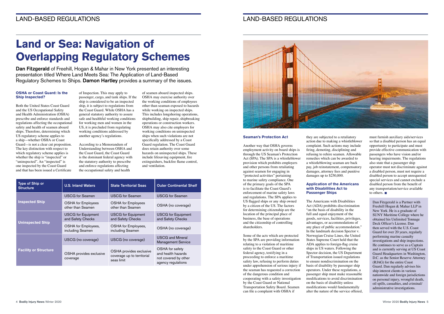## LAND-BASED REGULATIONS LAND-BASED REGULATIONS

### **OSHA or Coast Guard: Is the Ship Inspected?**

Both the United States Coast Guard and the US Occupational Safety and Health Administration (OSHA) prescribe and enforce standards and regulations affecting the occupational safety and health of seamen aboard ships. Therefore, determining which US regulatory scheme applies to a ship—whether OSHA or Coast Guard—is not a clear cut proposition. The key distinction with respect to which regulatory scheme applies is whether the ship is "inspected" or "uninspected". An "inspected" is one inspected by the Coast Guard and that has been issued a Certificate

of Inspection. This may apply to passenger, cargo, and tank ships. If the ship is considered to be an inspected ship, it is subject to regulations from the Coast Guard. While OSHA has a general statutory authority to assure safe and healthful working conditions for working men and women in the US, it is precluded from regulating working conditions addressed by another agency's regulations.

According to a Memorandum of Understanding between OSHA and the Coast Guard, the Coast Guard is the dominant federal agency with the statutory authority to prescribe and enforce regulations affecting the occupational safety and health

of seamen aboard inspected ships. OSHA may exercise authority over the working conditions of employees other than seaman exposed to hazards while working on inspected ships. This includes longshoring operations, shipbuilding, ship repair, shipbreaking operations or construction workers. OSHA may also cite employers for working conditions on uninspected ships when such violations are not specifically addressed by a Coast Guard regulation. The Coast Guard does retain authority over some hazards on uninspected ships. These include lifesaving equipment, fire extinguishers, backfire flame control, and ventilation.

## **Land or Sea: Navigation of Overlapping Regulatory Schemes**

Dan Fitzgerald of Freehill, Hogan & Mahar in New York presented an interesting presentation titled Where Land Meets Sea: The Application of Land-Based Regulatory Schemes to Ships. Damon Hartley provides a summary of the issues.

#### **Seaman's Protection Act**

must furnish auxiliary aids/services so that a disabled person has an equal opportunity to participate and must provide effective communication with passengers who have vision and/or hearing impairments. The regulations also state that a passenger ship operator must not discriminate against a disabled person, must not require a disabled person to accept unrequested special services and cannot exclude a disabled person from the benefit of any transportation/service available to others.  $\blacksquare$ 

Another way that OSHA governs employment activity on board ships is through the US Seaman's Protection Act (SPA). The SPA is a whistleblower provision which prohibits employers and other persons from retaliating against seamen for engaging in "protected activities" pertaining to marine safety compliance. One of the primary goals of the SPA is to facilitate the Coast Guard's enforcement of marine safety laws and regulations. The SPA applies to US flagged ships or any ship owned by a citizen of the US. The factors for determining citizenship are the location of the principal place of business, the base of operations and the citizenship of controlling shareholders.

Some of the acts which are protected by the SPA are providing information relating to a violation of maritime safety to the Coast Guard or other federal agency, testifying in a proceeding to enforce a maritime safety law, refusing to perform duties under apprehension of serious injury if the seaman has requested a correction of the dangerous condition and cooperating with a safety investigation by the Coast Guard or National Transportation Safety Board. Seamen can file a complaint with OSHA if

they are subjected to a retaliatory action due to making a whistleblower complaint. Such actions may include firing, demoting, disciplining and refusing to rehire seamen. Allowable remedies which can be awarded to a whistleblowing seaman are back pay, job reinstatement, compensatory damages, attorney fees and punitive damages up to \$250,000.

## **Application of the Americans with Disabilities Act to Passenger Ships**

The Americans with Disabilities Act (ADA) prohibits discrimination "on the basis of disability in the full and equal enjoyment of the goods, services, facilities, privileges, advantages, or accommodations of any place of public accommodation." In the landmark decision Spector v. Norwegian Cruise Lines, the United States Supreme Court held that the ADA applies to foreign-flag cruise ships in US waters. Following the Spector decision, the US Department of Transportation issued regulations to ensure nondiscrimination on the basis of disability by passenger ship operators. Under these regulations, a passenger ship must make reasonable modifications to avoid discrimination on the basis of disability unless modifications would fundamentally alter the nature of the service offered,

Dan Fitzgerald is a Partner with Freehill Hogan & Mahar LLP in New York. He is a graduate of SUNY Maritime College where he obtained his Unlimited Tonnage Deck Officer's License. Dan then served with the U.S. Coast Guard for over 20 years, regularly performing marine casualty investigations and ship inspections. He continues to serve as a Captain and is currently serving at US Coast Guard Headquarters in Washington, D.C. as the Senior Reserve Attorney (RJAG) for the entire Coast Guard. Dan regularly advises his ship interest clients in various nationwide and foreign jurisdictions on personal injury, wrongful death, oil spills, casualties, and criminal/ administrative investigations.

| Type of Ship or<br><b>Structure</b> | <b>U.S. Inland Waters</b>                      | <b>State Territorial Seas</b>                                       | <b>Outer Continental Shelf</b>                                                      |
|-------------------------------------|------------------------------------------------|---------------------------------------------------------------------|-------------------------------------------------------------------------------------|
| <b>Inspected Ship</b>               | <b>USCG</b> for Seamen                         | <b>USCG</b> for Seamen                                              | <b>USCG</b> for Seamen                                                              |
|                                     | <b>OSHA</b> for Employees<br>other than Seamen | <b>OSHA</b> for Employees<br>other than Seamen                      | OSHA (no coverage)                                                                  |
| <b>Uninspected Ship</b>             | <b>USCG</b> for Equipment<br>and Safety Checks | <b>USCG</b> for Equipment<br>and Safety Checks                      | <b>USCG</b> for Equipment<br>and Safety Checks                                      |
|                                     | OSHA for Employees,<br>including Seamen        | OSHA for Employees,<br>including Seamen                             | OSHA (no coverage)                                                                  |
| <b>Facility or Structure</b>        | USCG (no coverage)                             | USCG (no coverage)                                                  | <b>USCG and Mineral</b><br><b>Management Service</b>                                |
|                                     | OSHA provides exclusive<br>coverage            | OSHA provides exclusive<br>coverage up to territorial<br>seas limit | OSHA for safety<br>and health hazards<br>not covered by other<br>agency regulations |

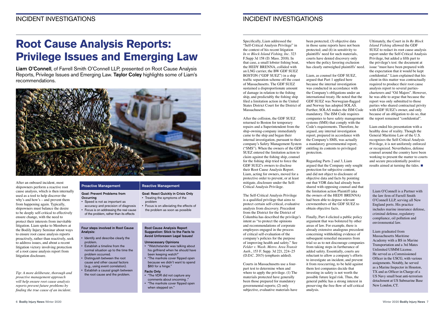## INCIDENT INVESTIGATIONS INCIDENT INVESTIGATIONS

Specifically, Liam addressed the "Self-Critical Analysis Privilege" in the context of his recent litigation *In re Block Island Fishing, Inc.* 323 F.Supp 3d 158 (D. Mass. 2018). In that case, a small lobster fishing boat, the HEDY BRENNA, collided with an LNG carrier, the BW GDF SUEZ BOSTON ("GDF SUEZ") in a ship traffic separation scheme off the coast of Massachusetts. The GDF SUEZ sustained a disproportionate amount of damage in relation to the fishing ship, and predictably the fishing ship filed a limitation action in the United States District Court for the District of Massachusetts.

After the collision, the GDF SUEZ returned to Boston for temporary repairs and a Superintendent from the ship-owning-company immediately came to the ship and began their internal investigation, pursuant to their company's Safety Management System ("SMS"). When the owners of the GDF SUEZ entered the limitation action to claim against the fishing ship, counsel for the fishing ship tried to force the GDF SUEZ's owners to disclose their Root Cause Analysis Report. Liam, acting for owners, moved for a protective order to prevent, or at least mitigate, disclosure under the Self-Critical Analysis Privilege.

The Self-Critical Analysis Privilege is a qualified privilege that aims to protect certain self-critical, evaluative analysis from discovery. Precedent from the District for the District of Columbia has described the privilege's intent as "to protect the opinions and recommendations of corporate employees engaged in the process of critical self-evaluation of the company's policies for the purpose of improving health and safety." See *Felder v. Wash. Metro. Area Transit Auth.*, 153 F. Supp. 3d 221, 224–25 (D.D.C. 2015) (emphasis added).

Courts in Massachusetts use a fourpart test to determine when and where to apply the privilege. (1) The materials protected have generally been those prepared for mandatory governmental reports; (2) only subjective, evaluative materials have

been protected; (3) objective data in those same reports have not been protected; and (4) in sensitivity to plaintiffs' need for such materials, courts have denied discovery only where the policy favoring exclusion has clearly outweighed plaintiffs' need.

> Liam ended his presentation with a healthy dose of reality. Though the General Maritime Law of the U.S. recognizes the Self-Critical Analysis Privilege, it is not uniformly enforced or recognized. Nevertheless, defense counsel around the country have been working to present the matter to courts and secure precedentially positive results aimed at turning the tides.

Liam, as counsel for GDF SUEZ, argued that Part 1 applied here because the internal investigation was conducted in accordance with the Company's obligations under an international treaty. He noted that the GDF SUEZ was Norwegian-flagged and Norway has adopted SOLAS. Further, SOLAS makes the ISM Code mandatory. The ISM Code requires companies to have safety management systems (SMS) that comply with the Code's requirements. Therefore, he argued, any internal investigation report, prepared in accordance with the Company's SMS, was actually a mandatory governmental report, entitling its contents to privileged protection.

Regarding Parts 2 and 3, Liam argued that the Company only sought protection for subjective content, and did not object to disclosure of objective data and facts by pointing out that VDR data had already been shared with opposing counsel and that the limitation action Plaintiff (aka the owners of the HEDY BRENNA) had been able to depose relevant crewmembers of the GDF SUEZ to obtain objective facts.

### Goal: Prevent Problems from **Occurring**

Finally, Part 4 elicited a public policy argument that was bolstered by other areas of law. For example, there is already extensive analogous precedent concerning withholding evidence of subsequent remedial measures from trial so as to not discourage companies from taking steps in furtherance of added safety. Essentially, courts are reluctant to allow a company's efforts to investigate an incident, and prevent it from reoccurring, to be held against them lest companies decide that investing in safety is not worth the possible future legal risk. Thus, the general public has a strong interest in preserving the free flow of self-critical analysis.

Ultimately, the Court in *In Re Block Island Fishing* allowed the GDF SUEZ to redact its root cause analysis report under the Self-Critical Analysis Privilege, but added a fifth part to the privilege's test: the document at issue "must have been prepared with the expectation that it would be kept confidential." Liam explained that his client in this matter was contractually required to produce their root cause analysis report to several partiescharterers and "Oil Majors". However, he was able to argue that because the report was only submitted to those parties who shared contractual privity with GDF SUEZ's owner, and only because of an obligation to do so, that the report remained "confidential".

Liam O'Connell is a Partner with the law firm of Farrell Smith O'Connell LLP, serving all New England ports. His practice includes marine insurance defense, criminal defense, regulatory compliance, oil pollution and environmental law.

Liam graduated from Massachusetts Maritime Academy with a BS in Marine Transportation and a 3rd Mates Unlimited USMM License. He served as a Commissioned Officer in the USCG, with various assignments. Notably, he served as a Marine Inspector in Houston, TX and as Officer in Charge of a US Navy small boat anti-terrorism detachment at US Submarine Base New London, CT.

After an onboard incident, most shipowners perform a reactive root cause analysis, which is then internally used as a tool to help discover the why's and how's – and prevent them from happening again. Typically, shipowners must balance the desire to be deeply self-critical to effectively ensure change, with the need to protect their interests from inevitable litigation. Liam spoke to Members at the Bodily Injury Seminar about ways to ensure root cause analysis reports proactively, rather than reactively, seek to address issues, and about a recent litigation victory involving protection of a root cause analysis report from litigation disclosure.

*Tip: A more deliberate, thorough and proactive management approach will help ensure root cause analysis reports prevent future problems by finding the true cause of an incident.* 

## Proactive Management Reactive Management

## **Root Cause Analysis Reports: Privilege Issues and Emerging Law**

Liam O'Connell, of Farrell Smith O'Connell LLP, presented on Root Cause Analysis Reports, Privilege Issues and Emerging Law. Taylor Coley highlights some of Liam's recommendations.



## • Speed is not as important as accuracy and precision of diagnosis

• Focus is on addressing the real cause of the problem, rather than its effects

Goal: React Quickly in Crisis Only • Treating the symptoms of the

problem

• Focus is on alleviating the effects of the problem as soon as possible

### Four steps involved in Root Cause Analysis:

Root Cause Analysis Report Suggestion: Stick to the Facts to Avoid Unforeseen Legal Issues!

- Identify and describe clearly the problem.
- Establish a timeline from the normal situation up to the time the problem occurred.
- Distinguish between the root cause and other causal factors
- (e.g., using event correlation). • Establish a causal graph between
- the root cause and the problem.
	- comments about oncoming ." • "The manhole cover flipped open when stepped on."

Unnecessary Opinions

• "Watchstander was talking about his girlfriend when he should have

been keeping watch!"

• "The manhole cover flipped open because we didn't want to spend

\$60 for a hinge."

Facts Only

• "The VDR did not capture any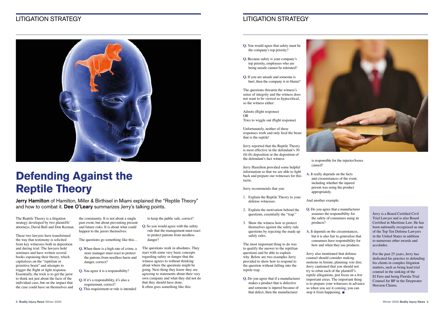## LITIGATION STRATEGY LITIGATION STRATEGY



- **Q.** You would agree that safety must be the company's top priority?
- **Q.** Because safety is your company's top priority, employees who are being unsafe cannot be tolerated?
- **Q.** If you are unsafe and someone is hurt, then the company is to blame?

The questions threaten the witness's sense of integrity and the witness does not want to be viewed as hypocritical, so the witness either:

Admits (flight response) OR Tries to wiggle out (flight response)

Unfortunately, neither of these responses work and only feed the beast that is the reptile!

Jerry reported that the Reptile Theory is most effective in the defendant's 30 (b) (6) deposition or the deposition of the defendant's fact witness.

Jerry Hamilton provided some helpful information so that we are able to fight back and prepare our witnesses for this tactic.

Jerry recommends that you:

Jerry also mentioned that defense counsel should consider making motions in limine, planning voir dire. Jerry cautioned that you should not try to rebut each of the plaintiff's reptile allegations, just focus on a few important areas. The important thing is to prepare your witnesses in advance so when you see it coming, you can stop it from happening.  $\blacksquare$ 

- 1. Explain the Reptile Theory to your defense witnesses.
- 2. Explain the motivation behind the questions, essentially the "trap."
- 3. Show the witness how to protect themselves against the safety rule questions by rejecting the made up safely rules.

The most important thing to do was to qualify the answer to the reptilian questions and be able to explain why. Below are two examples Jerry provided to show how to respond to the question without falling into the reptile trap.

**Q.** Do you agree that if a manufacturer makes a product that is defective and someone is injured because of that defect, then the manufacturer



is responsible for the injuries/losses caused?

**A.** It really depends on the facts and circumstances of the event, including whether the injured person was using the product appropriately.

And another example:

- **Q.** Do you agree that a manufacturer assumes the responsibility for the safety of consumers using its products?
- **A.** It depends on the circumstances,

but it is also fair to generalize that consumers have responsibility for how and when they use products.

Jerry Hamilton of Hamilton, Miller & Birthisel in Miami explained the "Reptile Theory" and how to combat it. Dee O'Leary summarizes Jerry's talking points.

The Reptile Theory is a litigation strategy developed by two plaintiffs' attorneys, David Ball and Don Keenan.

These two lawyers have transformed the way that testimony is solicited from key witnesses both in deposition and during trial. The lawyers hold seminars and have written several books espousing their theory, which capitalizes on the "reptilian or primitive brain" and attempts to trigger the flight or fight response. Essentially, the trick is to get the juror to think not just about the facts of the individual case, but on the impact that the case could have on themselves and

the community. It is not about a single past event, but about preventing present and future risks. It is about what could happen to the jurors themselves.

The questions go something like this...

- **Q.** When there is a high rate of crime, a store manager must react to protect the patrons from needless harm and danger, correct?
- **Q.** You agree it is a responsibility?
- **Q.** If it's a responsibility, it's also a requirement, correct?
- **Q.** This requirement or rule is intended

to keep the public safe, correct?

- **Q.** So you would agree with the safety rule that the management must react to protect patrons from needless danger?
- The questions work in absolutes. They start with some very basic concepts regarding safety or danger that the witness agrees to without thinking about where the questions might be going. Next thing they know they are agreeing to statements about their very own company and what they did not do that they should have done. It often goes something like this:

## **Defending Against the Reptile Theory**

Jerry is a Board Certified Civil Trial Lawyer and is also Board Certified in Maritime Law. He has been nationally recognized as one of the Top Ten Defense Lawyers in the United States in addition to numerous other awards and accolades.

For the past 25 years, Jerry has dedicated his practice to defending his clients in complex litigation matters, such as being lead trial counsel in the sinking of the El Faro and being Florida Trial Counsel for BP in the Deepwater Horizon Claims.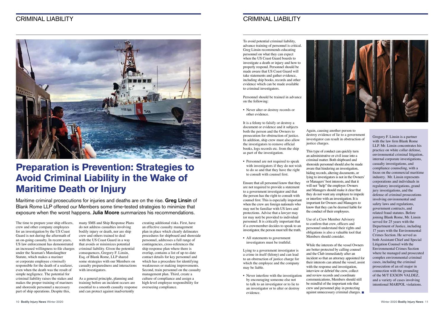## CRIMINAL LIABILITY CRIMINAL LIABILITY



The time to prepare your ship officers, crew and other company employees for an investigation by the US Coast Guard is not during the aftermath of an on-going casualty. In recent years, US law enforcement has demonstrated an increased willingness to file charges criminal liability. Given the potential under the Seaman's Manslaughter Statute, which makes a mariner or corporate employee *criminally* responsible for the death of a seafarer, even when the death was the result of simple negligence. The potential for criminal liability raises the stakes and makes the proper training of mariners and shoreside personnel a necessary part of ship operations. Despite this,

many SMS and Ship Response Plans do not address casualties involving bodily injury or death, nor are ship crew and others trained to deal with the US Coast Guard in a way that avoids or minimizes potential consequences, Gregory F. Linsin, Esq. of Blank Rome, LLP shared some strategies with our Members on casualty preparedness and interactions with investigators.

As a general principle, planning and training before an incident occurs are essential to a smooth casualty response and can protect against inadvertently

• Never alter or destroy records or other evidence.

creating additional risks. First, have an effective casualty management plan in place which clearly delineates procedures for shipboard and shoreside personnel, addresses a full range of contingencies, cross-references the ship response plan where there is overlap, contains a list of up-to-date contact details for key personnel and which has a procedure for identifying weaknesses or making improvements. Second, train personnel on the casualty management plan. Third, create a culture of compliance and assign a high-level employee responsibility for overseeing compliance.

• Personnel are not required to speak with investigators if they do not wish to do so and that they have the right to consult with counsel first.

## **Preparation is Prevention: Strategies to Avoid Criminal Liability in the Wake of Maritime Death or Injury**

• Never interfere with the investigation by encouraging someone else not to talk to an investigator or to lie to an investigator or to alter or destroy evidence.



Maritime criminal prosecutions for injuries and deaths are on the rise. Greg Linsin of Blank Rome LLP offered our Members some time-tested strategies to minimize that exposure when the worst happens. Julia Moore summarizes his recommendations.

To avoid potential criminal liability, advance training of personnel is critical. Greg Linsin recommends educating personnel on what they can expect when the US Coast Guard boards to investigate a death or injury and how to properly respond. Personnel should be made aware that US Coast Guard will take statements and gather evidence, including ship books, records and other evidence which can be made available to criminal investigators.

> While the interests of the vessel Owners are better protected by calling counsel and the Club immediately after an incident so that an attorney appointed for their interests can attend the vessel, assist with the response and investigation, interview or debrief the crew, collect and review records and coordinate communications, Members should still be mindful of the important role that crew and personnel play in protecting against unnecessary criminal charges.  $\blacksquare$



Personnel should be trained in advance on the following:

It is a felony to falsify or destroy a document or evidence and it subjects both the person and the Owners to prosecution for obstruction of justice. In addition, ship crew must also allow the investigators to remove official books, logs records etc. from the ship as part of the investigation.

Ensure that all personnel know that they are not required to provide a statement to a government investigator and that the person has the right to consult with counsel first. This is especially important when the crew are foreign nationals who may not be familiar with US laws and protections. Advise that a lawyer may (or may not) be provided to individual personnel. It is critically important that if a crewmember decides to speak to an investigator, the person must tell the truth.

• All statements to government investigators must be truthful.

Lying to a government investigator is a crime in itself (felony) and can lead to an obstruction of justice charge for which the employee and the company may be liable.

Again, causing another person to destroy evidence of lie to a government investigator can result in obstruction of justice charges.

This type of conduct can quickly turn an administrative or civil issue into a criminal matter. Both shipboard and shoreside personnel should also be made aware that hindering an investigation, hiding records, altering documents, or lying to investigators is not in the Owners' or Managers' best interests, and that it will not "help" the employer. Owners and Managers should make it clear that they do not want any employee to impede or interfere with an investigation. It is important for Owners and Managers to know that they can be deemed liable for the conduct of their employees.

Use of a Crew Member Advisory to confirm that crew, officers and personnel understand their rights and obligations is also a valuable tool that Members should consider.

Gregory F. Linsin is a partner with the law firm Blank Rome LLP. Mr. Linsin concentrates his practice on white collar defense, environmental criminal litigation, internal corporate investigations, casualty investigations, and compliance counseling, with a focus on the commercial maritime industry. Mr. Linsin represents corporations and individuals in regulatory investigations, grand jury investigations, and the defense of criminal prosecutions involving environmental and safety laws and regulations, government contracts, and related fraud statutes. Before joining Blank Rome, Mr. Linsin served for 25 years with the Department of Justice, including 17 years with the Environmental Crimes Section. He served as both Assistant Chief and Special Litigation Counsel with the Environmental Crimes Section where he managed and prosecuted complex environmental criminal cases, including the criminal prosecution of an oil major in connection with the grounding of the M/T EXXON VALDEZ, and a variety of cases involving intentional MARPOL violations.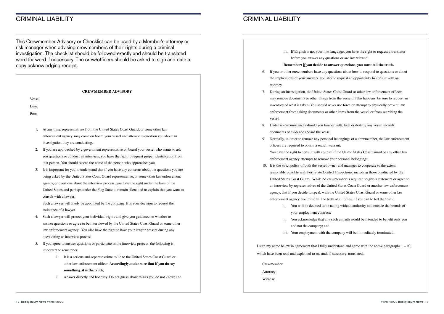## CRIMINAL LIABILITY CRIMINAL LIABILITY

iii. If English is not your first language, you have the right to request a translator

before you answer any questions or are interviewed.

**Remember: if you decide to answer questions, you must tell the truth.**  6. If you or other crewmembers have any questions about how to respond to questions or about

may remove documents or other things from the vessel, If this happens, be sure to request an inventory of what is taken. You should never use force or attempt to physically prevent law enforcement from taking documents or other items from the vessel or from searching the

I sign my name below in agreement that I fully understand and agree with the above paragraphs  $1 - 10$ , which have been read and explained to me and, if necessary, translated.

- the implications of your answers, you should request an opportunity to consult with an attorney.
- 7. During an investigation, the United States Coast Guard or other law enforcement officers vessel.
- 8. Under no circumstances should you tamper with, hide or destroy any vessel records, documents or evidence aboard the vessel.
- 9. Normally, in order to remove any personal belongings of a crewmember, the law enforcement officers are required to obtain a search warrant. You have the right to consult with counsel if the United States Coast Guard or any other law enforcement agency attempts to remove your personal belongings.
- 10. It is the strict policy of both the vessel owner and manager to cooperate to the extent reasonably possible with Port State Control Inspections, including those conducted by the United States Coast Guard. While no crewmember is required to give a statement or agree to an interview by representatives of the United States Coast Guard or another law enforcement agency, that if you decide to speak with the United States Coast Guard or some other law enforcement agency, you must tell the truth at all times. If you fail to tell the truth:
	- i. You will be deemed to be acting without authority and outside the bounds of your employment contract;
	- and not the company; and
	-

ii. You acknowledge that any such untruth would be intended to benefit only you

iii. Your employment with the company will be immediately terminated.

Crewmember:

Attorney:

Witness:

This Crewmember Advisory or Checklist can be used by a Member's attorney or risk manager when advising crewmembers of their rights during a criminal investigation. The checklist should be followed exactly and should be translated word for word if necessary. The crew/officers should be asked to sign and date a copy acknowledging receipt.

| <b>CREWMEMBER ADVISORY</b> |                                                                                                 |  |  |  |
|----------------------------|-------------------------------------------------------------------------------------------------|--|--|--|
| Vessel:                    |                                                                                                 |  |  |  |
| Date:                      |                                                                                                 |  |  |  |
| Port:                      |                                                                                                 |  |  |  |
|                            |                                                                                                 |  |  |  |
| 1.                         | At any time, representatives from the United States Coast Guard, or some other law              |  |  |  |
|                            | enforcement agency, may come on board your vessel and attempt to question you about an          |  |  |  |
|                            | investigation they are conducting.                                                              |  |  |  |
| 2.                         | If you are approached by a government representative on board your vessel who wants to ask      |  |  |  |
|                            | you questions or conduct an interview, you have the right to request proper identification from |  |  |  |
|                            | that person. You should record the name of the person who approaches you.                       |  |  |  |
| 3.                         | It is important for you to understand that if you have any concerns about the questions you are |  |  |  |
|                            | being asked by the United States Coast Guard representative, or some other law enforcement      |  |  |  |
|                            | agency, or questions about the interview process, you have the right under the laws of the      |  |  |  |
|                            | United States and perhaps under the Flag State to remain silent and to explain that you want to |  |  |  |

consult with a lawyer.

Such a lawyer will likely be appointed by the company. It is your decision to request the assistance of a lawyer.

- 4. Such a lawyer will protect your individual rights and give you guidance on whether to answer questions or agree to be interviewed by the United States Coast Guard or some other law enforcement agency. You also have the right to have your lawyer present during any questioning or interview process.
- 5. If you agree to answer questions or participate in the interview process, the following is important to remember:
	- i. It is a serious and separate crime to lie to the United States Coast Guard or other law enforcement officer. **Accordingly, make sure that if you do say something, it is the truth**;
	- ii. Answer directly and honestly. Do not guess about thinks you do not know; and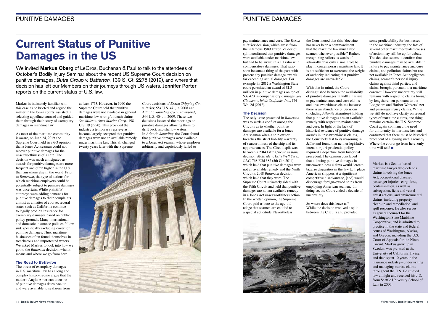pay maintenance and cure. The *Exxon v. Baker* decision, which arose from the infamous 1989 Exxon Valdez oil spill, confirmed that punitive damages were available under maritime law but had to be award in a 1:1 ratio with compensatory damages. That ratio soon became a thing of the past with present day punitive damage awards far exceeding actual damages. For example, in 2012 a Washington State court permitted an award of \$1.3 million in punitive damages on top of \$37,420 in compensatory damages. *See Clausen v. Icicle Seafoods, Inc.*, 174 Wn. 2d (2012).

#### **The Decision**

The only issue presented in *Batterton* was to settle a conflict among the Circuits as to whether punitive damages are available for a Jones Act seaman when a ship owner breaches the strict liability warranty of seaworthiness of the ship and its appurtenances. The Circuit split was between a 2014 Fifth Circuit *en banc* decision, *McBride v. Estis Well Serv.*, LLC, 768 F.3d 382 (5th Cir. 2014), which held that punitive damages were not an available remedy and the Ninth Circuit's 2018 *Batterton* decision, which held that they were. The Supreme Court ultimately sided with the Fifth Circuit and held that punitive damages are not an available remedy in a Jones Act unseaworthiness action. In the written opinion, the Supreme Court paid tribute to the age-old adage that seamen are entitled to a special solicitude. Nevertheless,

some predictability for businesses in the maritime industry, the fate of several other maritime-related causes of action may still be up for debate. The decision seems to confirm that punitive damages may be available in failure to pay maintenance and cure claims, and pollution claims but are not available in Jones Act negligence claims, seaman's personal injury claims against third parties, and claims brought pursuant to a maritime contract. However, uncertainty still remains with respect to claims brought by longshoremen pursuant to the Longshore and Harbor Workers' Act and passenger injury claims. While we still do not have clarity on several types of maritime claims, one thing remains certain- the U.S. Supreme Court again confirmed the need for uniformity in maritime law and confirmed that there must be historical precedent of allowing such a remedy. Where the courts go from here, only time will tell! $\blacksquare$ 

the Court noted that this "doctrine has never been a commandment that the maritime law must favor seamen whenever possible." Rather, recognizing sailors as wards of admiralty "has only a small role to play in contemporary maritime law. It is not sufficient to overcome the weight of authority indicating that punitive damages are unavailable."

We invited **Markus Oberg** of LeGros, Buchanan & Paul to talk to the attendees of October's Bodily Injury Seminar about the recent US Supreme Court decision on punitive damages, Dutra Group v. Batterton, 139 S. Ct. 2275 (2019), and where that decision has left our Members on their journeys through US waters. Jennifer Porter reports on the current status of U.S. law.

With that in mind, the Court distinguished between the availability of punitive damages in willful failure to pay maintenance and cure claims and unseaworthiness claims because there is an abundance of decisions (including *Atlantic Sounding*) holding that punitive damages are an available remedy with respect to maintenance and cure. In light of the lack of historical evidence of punitive damage awards in unseaworthiness claims, the Court held fast to its reasoning in *Miles* and found that neither legislative intent nor jurisprudential policy required a departure from historical precedent. The opinion concluded that allowing punitive damages in unseaworthiness claims would "create bizarre disparities in the law […], place American shippers at a significant competitive disadvantage, [and] would discourage foreign-owned ships from employing American seamen." In doing so, the Court ended a decade of uncertainty.

So where does this leave us? While the decision resolved a split between the Circuits and provided



## **Current Status of Punitive Damages in the US**

Markus is intimately familiar with this case as he briefed and argued the matter in the lower courts, assisted in selecting appellate counsel and guided them through the history of exemplary damages in maritime law.

As most of the maritime community is aware, on June 24, 2019, the Supreme Court held in a 6-3 opinion that a Jones Act seaman could not recover punitive damages for the unseaworthiness of a ship. The decision was much anticipated as awards for punitive damages are more frequent and often higher in the U.S. than anywhere else in the world. Prior to *Batterton*, the type of actions for which maritime employers could be potentially subject to punitive damages was uncertain. While plaintiffs' attorneys were adding demands for punitive damages to their complaints almost as a matter of course, several states such as California continue to legally prohibit insurance for exemplary damages based on public policy grounds. Many international and domestic insurance policies follow suit, specifically excluding cover for punitive damages. Thus, maritime businesses often found themselves in treacherous and unprotected waters. We asked Markus to look into how we got to the *Batterton* decision, what it means and where we go from here.

### **The Road to Batterton**

The threat of exemplary damages in U.S. maritime law has a long and complex history. Some argue that the modern Anglo-American doctrine of punitive damages dates back to and were available to seafarers from

at least 1763. However, in 1990 the Supreme Court held that punitive damages were not available in general maritime law wrongful death claims. *See Miles v. Apex Marine Corp*., 498 U.S. 19 (1990). This provided the industry a temporary reprieve as it became largely accepted that punitive damages were not an available remedy under maritime law. This all changed twenty years later with the Supreme

Court decisions of *Exxon Shipping Co. v. Baker*, 554 U.S. 471, in 2008 and *Atlantic Sounding Co. v. Townsend*, 544 U.S. 404, in 2009. These two decisions loosened the moorings on punitive damages allowing them to drift back into shallow waters. In *Atlantic Sounding*, the Court found that punitive damages were available to a Jones Act seaman whose employer arbitrarily and capriciously failed to



Markus is a Seattle-based maritime lawyer who defends claims involving the Jones Act, occupational disease, passenger injuries, cargo loss, contamination, as well as subrogation, liens and vessel arrest actions, and environmental claims, including property clean-up and remediation, and spill response. He also serves as general counsel for the Washington State Maritime Cooperative; and is admitted to practice in the state and federal courts of Washington, Alaska, and Oregon, including the U.S. Court of Appeals for the Ninth Circuit. Markus grew up in Sweden, was pre-med at the University of California, Irvine, and then spent 10 years in the insurance industry—underwriting and managing marine claims throughout the U.S. He studied law at night and received his J.D. from Seattle University School of Law in 2003.